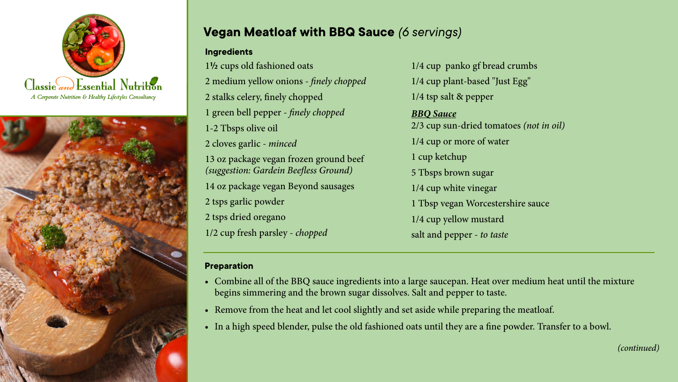



## **Vegan Meatloaf with BBQ Sauce** *(6 servings)*

## **Ingredients**

**½** cups old fashioned oats medium yellow onions - *finely chopped* stalks celery, finely chopped green bell pepper - *finely chopped* 1-2 Tbsps olive oil cloves garlic - *minced*

13 oz package vegan frozen ground beef *(suggestion: Gardein Beefless Ground)* 

14 oz package vegan Beyond sausages

2 tsps garlic powder

2 tsps dried oregano

 $\frac{1}{\sqrt{2}}$  and  $\frac{1}{\sqrt{2}}$  and  $\frac{1}{\sqrt{2}}$  and  $\frac{1}{\sqrt{2}}$  and  $\frac{1}{\sqrt{2}}$  and  $\frac{1}{\sqrt{2}}$  and  $\frac{1}{\sqrt{2}}$  and  $\frac{1}{\sqrt{2}}$  and  $\frac{1}{\sqrt{2}}$  and  $\frac{1}{\sqrt{2}}$  and  $\frac{1}{\sqrt{2}}$  and  $\frac{1}{\sqrt{2}}$  and  $\frac{1}{\sqrt{2}}$  and

 $\sim$  1/4 cup yellow mustard beans for a large pot with cold water and put the cleaned beans into a large pot with cold water pot with cold water pot with cold water pot with cold water and  $\sim$ 1/2 cup fresh parsley - *chopped* salt and pepper - *to taste* 1/4 cup panko gf bread crumbs 1/4 cup plant-based "Just Egg" 1/4 tsp salt & pepper *BBQ Sauce* 2/3 cup sun-dried tomatoes *(not in oil)* 1/4 cup or more of water 1 cup ketchup 5 Tbsps brown sugar 1/4 cup white vinegar 1 Tbsp vegan Worcestershire sauce salt and pepper - *to taste*

## $\mathbf{P}_{\mathbf{r}}$  and the pot, reserving 1 cup of the cooking liquid and the bay leaf. Dissolve the boundling liquid and the boundling liquid and the boundling liquid and the boundling liquid and the boundling liquid and the **Preparation**

- the reserved water and set the mixture aside. The mixture aside aside aside aside aside aside aside aside asid **Example an** of the *DD*<sub>Q</sub> states ingredients like a large states pair. Their over meanant near and the innertial begins simmering and the brown sugar dissolves. Salt and pepper to taste. • Combine all of the BBQ sauce ingredients into a large saucepan. Heat over medium heat until the mixture
- and set it as it as it as it as it as it as it as it as it as it as it as it as it as it as it as it as it as<br>It is as it as it as it as it as it as it as it as it as it as it as it as it as it as it as it as it as it as • Remove from the heat and let cool slightly and set aside while preparing the meatloaf.
- $\begin{array}{c|c} \bullet & \bullet & \bullet \end{array}$  . In the onion and saute 3-4 minutes, until the onion is translucent. Add the onion is translucent. Add the onion is translucent. Add the onion is translucent. Add the onion is translucent. Add th carrot and cook for 1-2 minutes more. *(continued)* • In a high speed blender, pulse the old fashioned oats until they are a fine powder. Transfer to a bowl.

*(continued)*